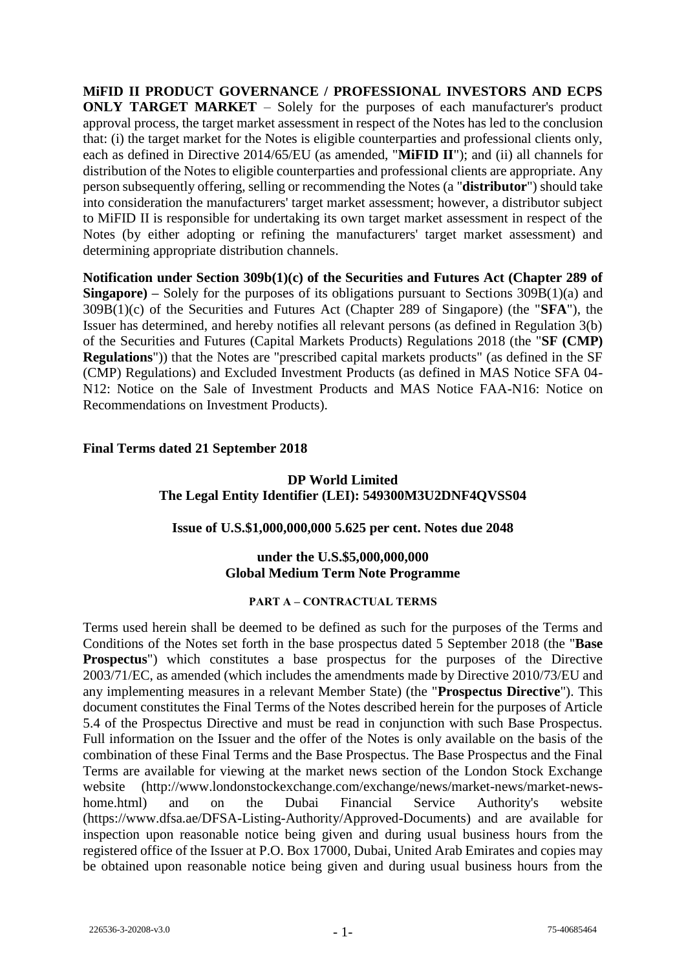**MiFID II PRODUCT GOVERNANCE / PROFESSIONAL INVESTORS AND ECPS ONLY TARGET MARKET** – Solely for the purposes of each manufacturer's product approval process, the target market assessment in respect of the Notes has led to the conclusion that: (i) the target market for the Notes is eligible counterparties and professional clients only, each as defined in Directive 2014/65/EU (as amended, "**MiFID II**"); and (ii) all channels for distribution of the Notes to eligible counterparties and professional clients are appropriate. Any person subsequently offering, selling or recommending the Notes (a "**distributor**") should take into consideration the manufacturers' target market assessment; however, a distributor subject to MiFID II is responsible for undertaking its own target market assessment in respect of the Notes (by either adopting or refining the manufacturers' target market assessment) and determining appropriate distribution channels.

**Notification under Section 309b(1)(c) of the Securities and Futures Act (Chapter 289 of Singapore) –** Solely for the purposes of its obligations pursuant to Sections 309B(1)(a) and 309B(1)(c) of the Securities and Futures Act (Chapter 289 of Singapore) (the "**SFA**"), the Issuer has determined, and hereby notifies all relevant persons (as defined in Regulation 3(b) of the Securities and Futures (Capital Markets Products) Regulations 2018 (the "**SF (CMP) Regulations**")) that the Notes are "prescribed capital markets products" (as defined in the SF (CMP) Regulations) and Excluded Investment Products (as defined in MAS Notice SFA 04- N12: Notice on the Sale of Investment Products and MAS Notice FAA-N16: Notice on Recommendations on Investment Products).

#### **Final Terms dated 21 September 2018**

## **DP World Limited The Legal Entity Identifier (LEI): 549300M3U2DNF4QVSS04**

#### **Issue of U.S.\$1,000,000,000 5.625 per cent. Notes due 2048**

#### **under the U.S.\$5,000,000,000 Global Medium Term Note Programme**

#### **PART A – CONTRACTUAL TERMS**

Terms used herein shall be deemed to be defined as such for the purposes of the Terms and Conditions of the Notes set forth in the base prospectus dated 5 September 2018 (the "**Base Prospectus**") which constitutes a base prospectus for the purposes of the Directive 2003/71/EC, as amended (which includes the amendments made by Directive 2010/73/EU and any implementing measures in a relevant Member State) (the "**Prospectus Directive**"). This document constitutes the Final Terms of the Notes described herein for the purposes of Article 5.4 of the Prospectus Directive and must be read in conjunction with such Base Prospectus. Full information on the Issuer and the offer of the Notes is only available on the basis of the combination of these Final Terms and the Base Prospectus. The Base Prospectus and the Final Terms are available for viewing at the market news section of the London Stock Exchange website (http://www.londonstockexchange.com/exchange/news/market-news/market-newshome.html) and on the Dubai Financial Service Authority's website (https://www.dfsa.ae/DFSA-Listing-Authority/Approved-Documents) and are available for inspection upon reasonable notice being given and during usual business hours from the registered office of the Issuer at P.O. Box 17000, Dubai, United Arab Emirates and copies may be obtained upon reasonable notice being given and during usual business hours from the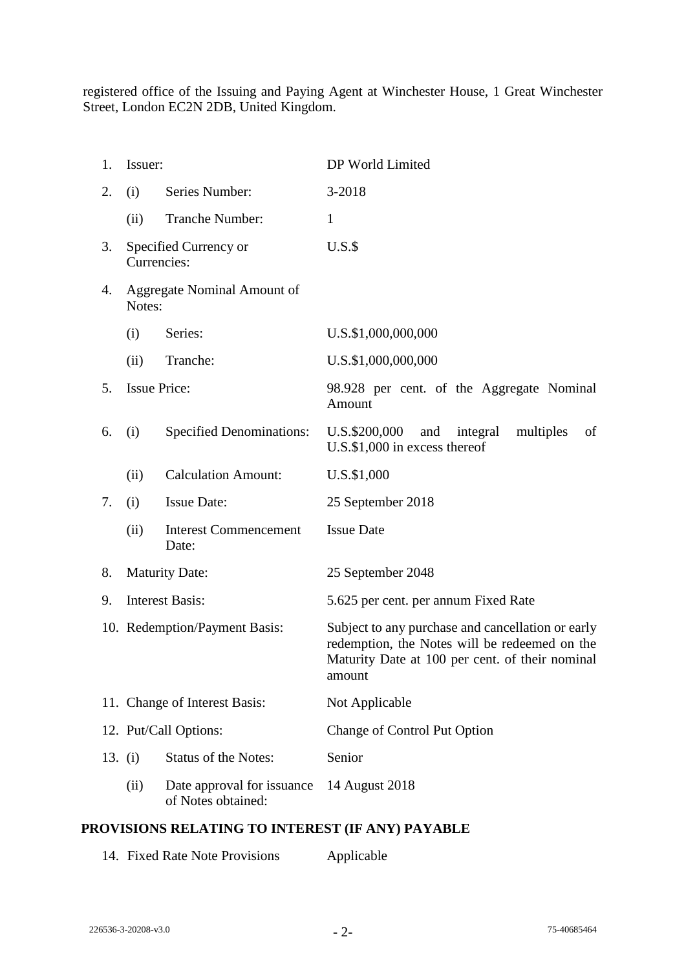registered office of the Issuing and Paying Agent at Winchester House, 1 Great Winchester Street, London EC2N 2DB, United Kingdom.

| 1.        | Issuer:                               |                                                  | DP World Limited                                                                                                                                                |
|-----------|---------------------------------------|--------------------------------------------------|-----------------------------------------------------------------------------------------------------------------------------------------------------------------|
| 2.        | (i)                                   | Series Number:                                   | 3-2018                                                                                                                                                          |
|           | (ii)                                  | Tranche Number:                                  | $\mathbf{1}$                                                                                                                                                    |
| 3.        | Currencies:                           | Specified Currency or                            | $U.S.\$                                                                                                                                                         |
| 4.        | Aggregate Nominal Amount of<br>Notes: |                                                  |                                                                                                                                                                 |
|           | (i)                                   | Series:                                          | U.S.\$1,000,000,000                                                                                                                                             |
|           | (ii)                                  | Tranche:                                         | U.S.\$1,000,000,000                                                                                                                                             |
| 5.        | <b>Issue Price:</b>                   |                                                  | 98.928 per cent. of the Aggregate Nominal<br>Amount                                                                                                             |
| 6.        | (i)                                   | <b>Specified Denominations:</b>                  | U.S.\$200,000<br>and<br>integral<br>multiples<br>οf<br>U.S.\$1,000 in excess thereof                                                                            |
|           | (ii)                                  | <b>Calculation Amount:</b>                       | U.S.\$1,000                                                                                                                                                     |
| 7.        | (i)                                   | <b>Issue Date:</b>                               | 25 September 2018                                                                                                                                               |
|           | (ii)                                  | <b>Interest Commencement</b><br>Date:            | <b>Issue Date</b>                                                                                                                                               |
| 8.        | <b>Maturity Date:</b>                 |                                                  | 25 September 2048                                                                                                                                               |
| 9.        | <b>Interest Basis:</b>                |                                                  | 5.625 per cent. per annum Fixed Rate                                                                                                                            |
|           | 10. Redemption/Payment Basis:         |                                                  | Subject to any purchase and cancellation or early<br>redemption, the Notes will be redeemed on the<br>Maturity Date at 100 per cent. of their nominal<br>amount |
|           | 11. Change of Interest Basis:         |                                                  | Not Applicable                                                                                                                                                  |
|           | 12. Put/Call Options:                 |                                                  | Change of Control Put Option                                                                                                                                    |
| 13. $(i)$ |                                       | <b>Status of the Notes:</b>                      | Senior                                                                                                                                                          |
|           | (ii)                                  | Date approval for issuance<br>of Notes obtained: | 14 August 2018                                                                                                                                                  |

## **PROVISIONS RELATING TO INTEREST (IF ANY) PAYABLE**

|  | 14. Fixed Rate Note Provisions | Applicable |
|--|--------------------------------|------------|
|--|--------------------------------|------------|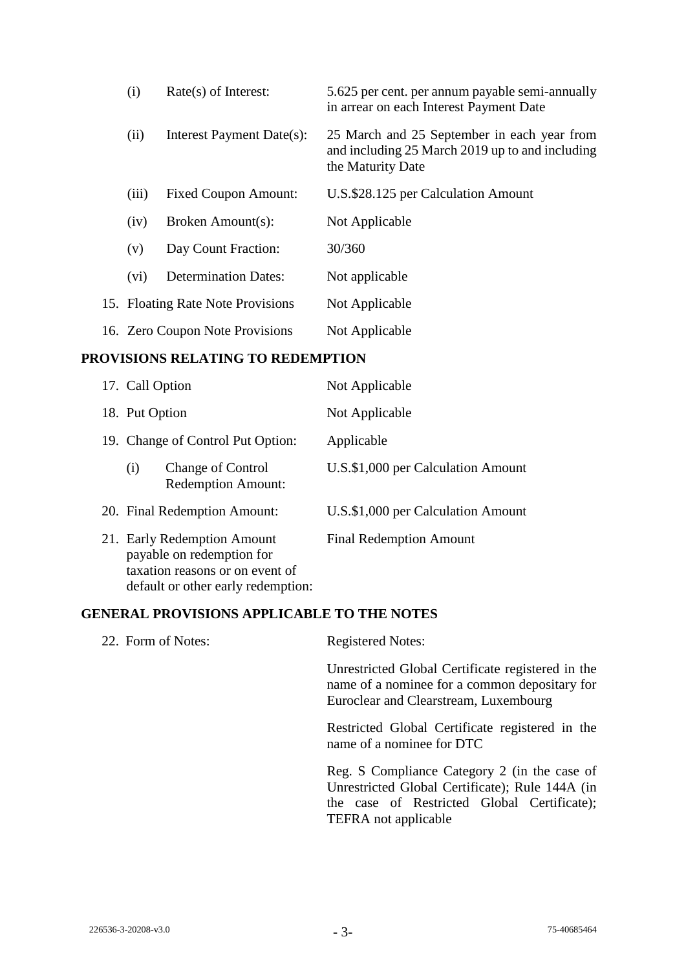| (i)                             | $Rate(s)$ of Interest:            | 5.625 per cent. per annum payable semi-annually<br>in arrear on each Interest Payment Date                          |
|---------------------------------|-----------------------------------|---------------------------------------------------------------------------------------------------------------------|
| (ii)                            | Interest Payment Date(s):         | 25 March and 25 September in each year from<br>and including 25 March 2019 up to and including<br>the Maturity Date |
| (iii)                           | <b>Fixed Coupon Amount:</b>       | U.S. \$28.125 per Calculation Amount                                                                                |
| (iv)                            | Broken Amount(s):                 | Not Applicable                                                                                                      |
| (v)                             | Day Count Fraction:               | 30/360                                                                                                              |
| (vi)                            | <b>Determination Dates:</b>       | Not applicable                                                                                                      |
|                                 | 15. Floating Rate Note Provisions | Not Applicable                                                                                                      |
| 16. Zero Coupon Note Provisions |                                   | Not Applicable                                                                                                      |

## **PROVISIONS RELATING TO REDEMPTION**

| 17. Call Option                                                                                                                   | Not Applicable                     |
|-----------------------------------------------------------------------------------------------------------------------------------|------------------------------------|
| 18. Put Option                                                                                                                    | Not Applicable                     |
| 19. Change of Control Put Option:                                                                                                 | Applicable                         |
| <b>Change of Control</b><br>(i)<br><b>Redemption Amount:</b>                                                                      | U.S.\$1,000 per Calculation Amount |
| 20. Final Redemption Amount:                                                                                                      | U.S.\$1,000 per Calculation Amount |
| 21. Early Redemption Amount<br>payable on redemption for<br>taxation reasons or on event of<br>default or other early redemption: | <b>Final Redemption Amount</b>     |

## **GENERAL PROVISIONS APPLICABLE TO THE NOTES**

| 22. Form of Notes: | <b>Registered Notes:</b>                                                                                                                       |
|--------------------|------------------------------------------------------------------------------------------------------------------------------------------------|
|                    | Unrestricted Global Certificate registered in the<br>name of a nominee for a common depositary for<br>Euroclear and Clearstream, Luxembourg    |
|                    | Restricted Global Certificate registered in the<br>name of a nominee for DTC                                                                   |
|                    | Reg. S Compliance Category 2 (in the case of<br>Unrestricted Global Certificate); Rule 144A (in<br>the case of Restricted Global Certificate); |

TEFRA not applicable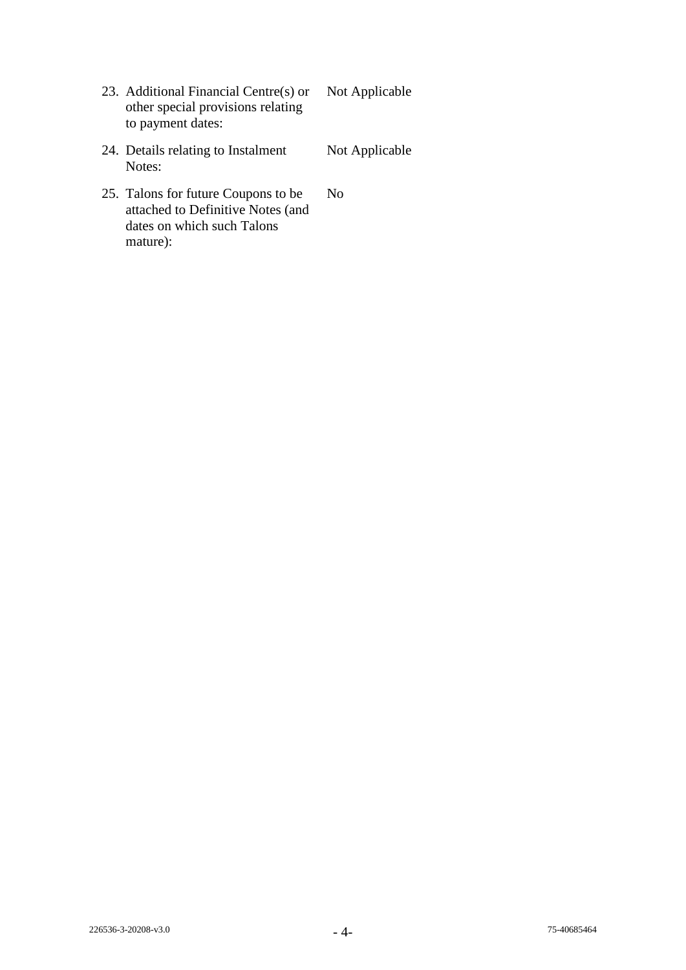- 23. Additional Financial Centre(s) or other special provisions relating to payment dates: Not Applicable
- 24. Details relating to Instalment Notes: Not Applicable
- 25. Talons for future Coupons to be attached to Definitive Notes (and dates on which such Talons mature): No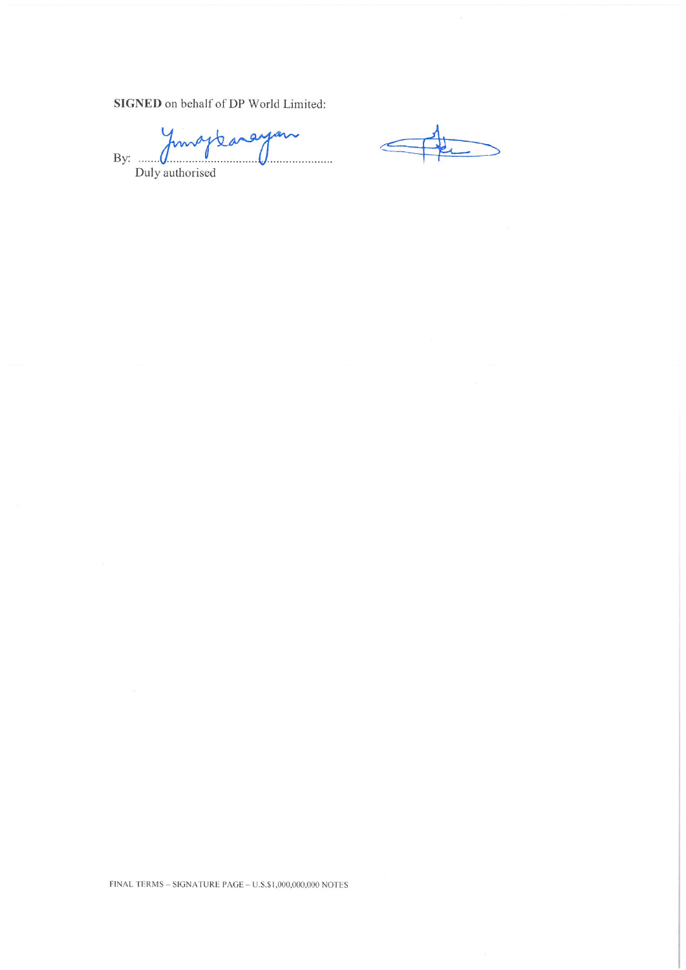SIGNED on behalf of DP World Limited:

baraya ma 0 By: ...... . . . . . . . . . . . . . . . . Duly authorised

FINAL TERMS – SIGNATURE PAGE –  $\mathrm{U.S.}\$1,000,000,000$  NOTES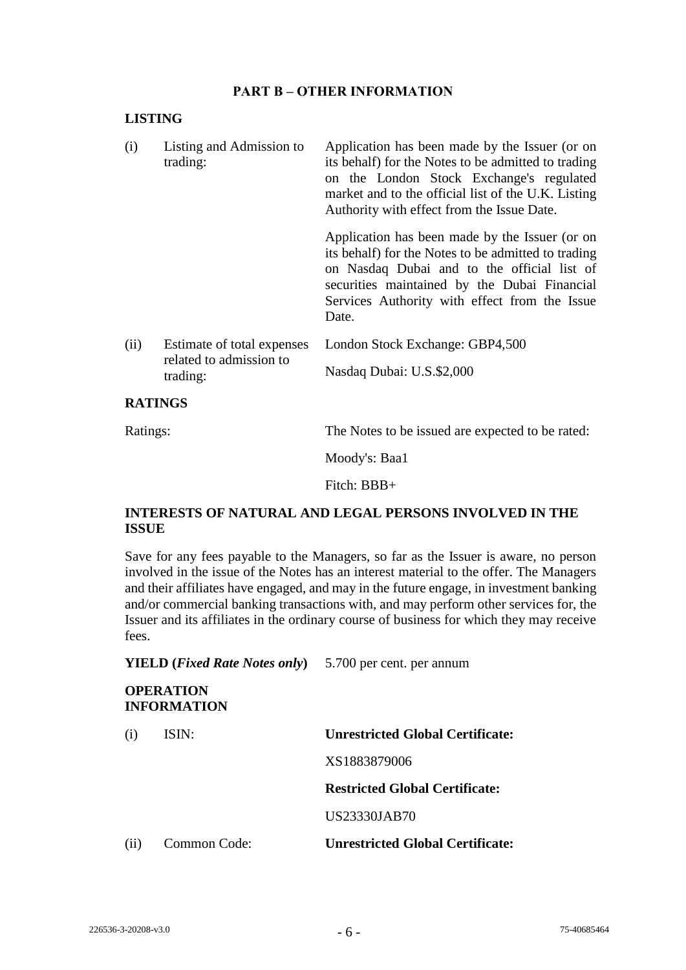#### **PART B – OTHER INFORMATION**

#### **LISTING**

| (i)  | Listing and Admission to<br>trading:                              | Application has been made by the Issuer (or on<br>its behalf) for the Notes to be admitted to trading<br>on the London Stock Exchange's regulated<br>market and to the official list of the U.K. Listing<br>Authority with effect from the Issue Date.         |
|------|-------------------------------------------------------------------|----------------------------------------------------------------------------------------------------------------------------------------------------------------------------------------------------------------------------------------------------------------|
|      |                                                                   | Application has been made by the Issuer (or on<br>its behalf) for the Notes to be admitted to trading<br>on Nasdaq Dubai and to the official list of<br>securities maintained by the Dubai Financial<br>Services Authority with effect from the Issue<br>Date. |
| (ii) | Estimate of total expenses<br>related to admission to<br>trading: | London Stock Exchange: GBP4,500<br>Nasdaq Dubai: U.S.\$2,000                                                                                                                                                                                                   |

#### **RATINGS**

Ratings: The Notes to be issued are expected to be rated:

Moody's: Baa1

Fitch: BBB+

## **INTERESTS OF NATURAL AND LEGAL PERSONS INVOLVED IN THE ISSUE**

Save for any fees payable to the Managers, so far as the Issuer is aware, no person involved in the issue of the Notes has an interest material to the offer. The Managers and their affiliates have engaged, and may in the future engage, in investment banking and/or commercial banking transactions with, and may perform other services for, the Issuer and its affiliates in the ordinary course of business for which they may receive fees.

**YIELD (***Fixed Rate Notes only***)** 5.700 per cent. per annum

# **OPERATION INFORMATION** (i) ISIN: **Unrestricted Global Certificate:** XS1883879006 **Restricted Global Certificate:** US23330JAB70 (ii) Common Code: **Unrestricted Global Certificate:**